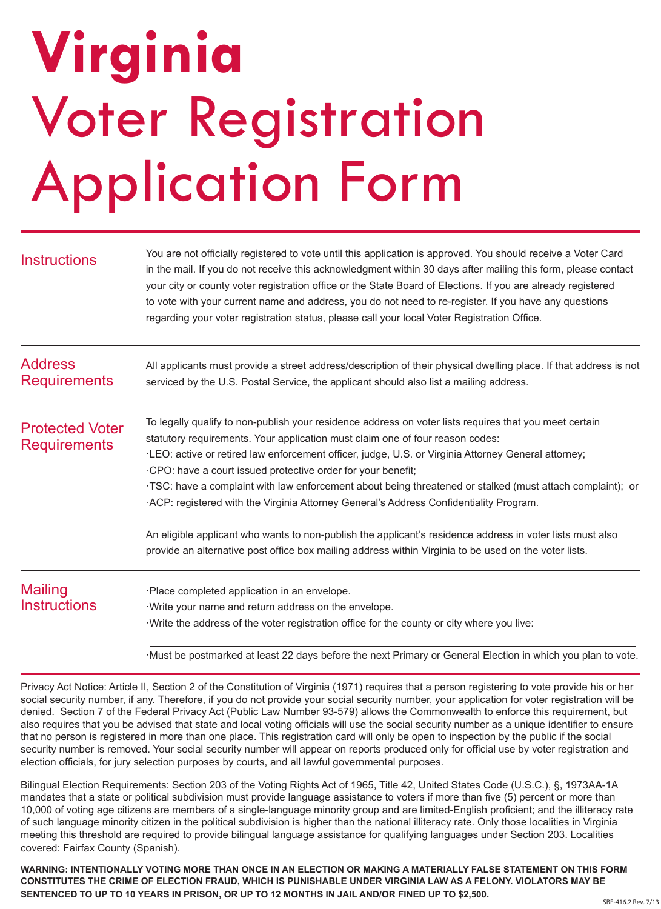# **Virginia**  Voter Registration Application Form

| <b>Instructions</b>                           | You are not officially registered to vote until this application is approved. You should receive a Voter Card<br>in the mail. If you do not receive this acknowledgment within 30 days after mailing this form, please contact<br>your city or county voter registration office or the State Board of Elections. If you are already registered<br>to vote with your current name and address, you do not need to re-register. If you have any questions<br>regarding your voter registration status, please call your local Voter Registration Office.             |
|-----------------------------------------------|--------------------------------------------------------------------------------------------------------------------------------------------------------------------------------------------------------------------------------------------------------------------------------------------------------------------------------------------------------------------------------------------------------------------------------------------------------------------------------------------------------------------------------------------------------------------|
| <b>Address</b><br><b>Requirements</b>         | All applicants must provide a street address/description of their physical dwelling place. If that address is not<br>serviced by the U.S. Postal Service, the applicant should also list a mailing address.                                                                                                                                                                                                                                                                                                                                                        |
| <b>Protected Voter</b><br><b>Requirements</b> | To legally qualify to non-publish your residence address on voter lists requires that you meet certain<br>statutory requirements. Your application must claim one of four reason codes:<br>·LEO: active or retired law enforcement officer, judge, U.S. or Virginia Attorney General attorney;<br>CPO: have a court issued protective order for your benefit;<br>TSC: have a complaint with law enforcement about being threatened or stalked (must attach complaint); or<br>ACP: registered with the Virginia Attorney General's Address Confidentiality Program. |
|                                               | An eligible applicant who wants to non-publish the applicant's residence address in voter lists must also<br>provide an alternative post office box mailing address within Virginia to be used on the voter lists.                                                                                                                                                                                                                                                                                                                                                 |
| <b>Mailing</b><br><b>Instructions</b>         | ·Place completed application in an envelope.<br>Write your name and return address on the envelope.<br>Write the address of the voter registration office for the county or city where you live:<br>Must be postmarked at least 22 days before the next Primary or General Election in which you plan to vote.                                                                                                                                                                                                                                                     |

Privacy Act Notice: Article II, Section 2 of the Constitution of Virginia (1971) requires that a person registering to vote provide his or her social security number, if any. Therefore, if you do not provide your social security number, your application for voter registration will be denied. Section 7 of the Federal Privacy Act (Public Law Number 93-579) allows the Commonwealth to enforce this requirement, but also requires that you be advised that state and local voting officials will use the social security number as a unique identifier to ensure that no person is registered in more than one place. This registration card will only be open to inspection by the public if the social security number is removed. Your social security number will appear on reports produced only for official use by voter registration and election officials, for jury selection purposes by courts, and all lawful governmental purposes.

Bilingual Election Requirements: Section 203 of the Voting Rights Act of 1965, Title 42, United States Code (U.S.C.), §, 1973AA-1A mandates that a state or political subdivision must provide language assistance to voters if more than five (5) percent or more than 10,000 of voting age citizens are members of a single-language minority group and are limited-English proficient; and the illiteracy rate of such language minority citizen in the political subdivision is higher than the national illiteracy rate. Only those localities in Virginia meeting this threshold are required to provide bilingual language assistance for qualifying languages under Section 203. Localities covered: Fairfax County (Spanish).

**WARNING: INTENTIONALLY VOTING MORE THAN ONCE IN AN ELECTION OR MAKING A MATERIALLY FALSE STATEMENT ON THIS FORM CONSTITUTES THE CRIME OF ELECTION FRAUD, WHICH IS PUNISHABLE UNDER VIRGINIA LAW AS A FELONY. VIOLATORS MAY BE SENTENCED TO UP TO 10 YEARS IN PRISON, OR UP TO 12 MONTHS IN JAIL AND/OR FINED UP TO \$2,500.**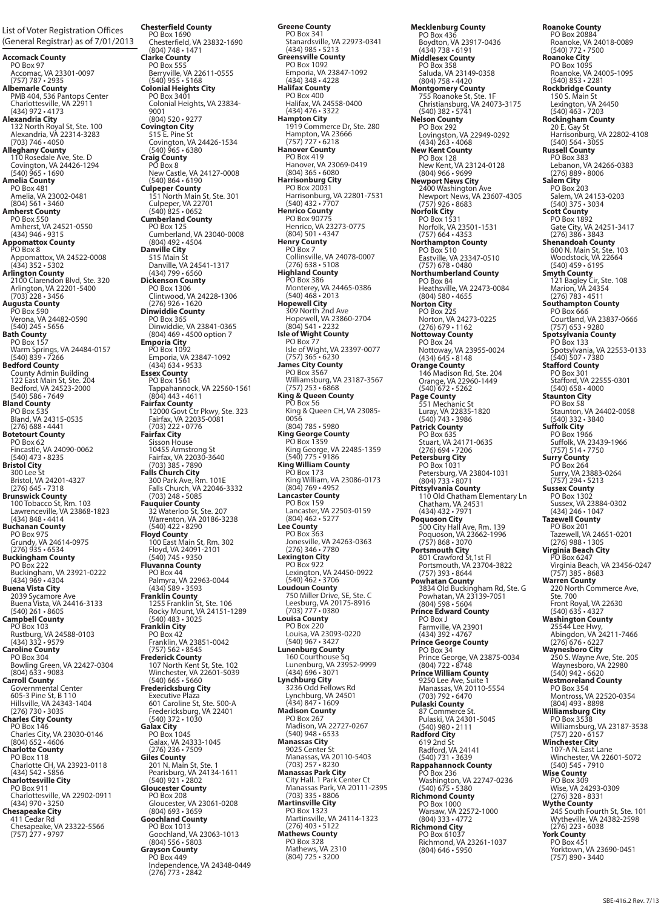**Accomack County** PO Box 97 Accomac, VA 23301-0097 (757) 787 • 2935 **Albemarle County** PMB 404, 536 Pantops Center Charlottesville, VA 22911 (434) 972 • 4173<br> **Alexandria City**<br>
132 North Royal St, Ste. 100<br> *Alexandria*, VA 22314-3283<br> **Alleghany County**<br>
110 Rosedale Ave, Ste. D<br>
Covington, VA 24426-1294<br>
(540) 965 • 1690 **Amelia County** PO Box 481 Amelia, VA 23002-0481 (804) 561 • 3460 **Amherst County** PO Box 550 Amherst, VA 24521-0550 (434) 946 • 9315 **Appomattox County** PO Box 8 Appomattox, VA 24522-0008 (434) 352 • 5302 **Arlington County** 2100 Clarendon Blvd, Ste. 320 Arlington, VA 22201-5400 (703) 228 • 3456 **Augusta County**  PO Box 590 Verona, VA 24482-0590 (540) 245 • 5656 **Bath County** PO Box 157 Warm Springs, VA 24484-0157 (540) 839 • 7266 **Bedford County<br>
County Admin Building<br>
122 East Main St, Ste. 204<br>
Bedford, VA 24523-2000<br>
(540) 586 • 7649<br>
<b>Bland County** PO Box 535<br>Bland, VA 24315-0535<br>(276) 688 • 4441<br>**Botetourt County**<br>PO Box 62<br>Fincastle, VA 24090-0062<br>(540) 473 • 8235 **Bristol City**<br>
300 Lee St<br>
Bristol, VA 24201-4327<br>
(276) 645 • 7318<br> **Brunswick County**<br>
100 Tobacco St, Rm. 103<br>
Lawrenceville, VA 23868-1823<br>
(434) 848 • 4414 **Buchanan County** PO Box 975 Grundy, VA 24614-0975 (276) 935 • 6534 **Buckingham County** PO Box 222<br>Buckingham, VA 23921-0222<br>**Buena Vista City**<br>2039 Sycamore Ave<br>2039 Sycamore Ave<br>(430) 261 • 8605<br>**Campbell County**<br>PO Box 103<br>Rustburg, VA 24588-0103<br>(434) 332 • 9579 **Caroline County** PO Box 304 Bowling Green, VA 22427-0304 (804) 633 • 9083 **Carroll County**<br>Governmental Center Governmental Center<br>
605-3 Pine St, B 110<br>
1Hillsville, VA 24343-1404<br>
(276) 730 • 3035<br> **Charles City, County<br>
Charles City, VA 23030-0146<br>
(804) 652 • 4606<br>
Charlotte County<br>
Charlotte County** PO Box 118<br>Charlotte CH, VA 23923-0118<br>(434) 542 • 5856<br>**Charlottesville City**<br>PO Box 911 Charlottesville, VA 22902-0911 (434) 970 • 3250 **Chesapeake City** 411 Cedar Rd Chesapeake, VA 23322-5566 (757) 277 • 9797 List of Voter Registration Offices (General Registrar) as of 7/01/2013 **Chesterfield County** PO Box 1690 Chesterfield, VA 23832-1690 (804) 748 • 1471 **Clarke County** PO Box 555 Berryville, VA 22611-0555 (540) 955 • 5168 **Colonial Heights City** PO Box 3401 Colonial Heights, VA 23834- 9001 (804) 520 • 9277 **Covington City<br>515 E. Pine St<br>Covington, VA 24426-1534<br>(540) 965 • 6380 Craig County**<br>
PO Box 8<br>
New Castle, VA 24127-0008<br>
(540) 864 • 6190<br> **Culpeper County**<br>
151 North Main St, Ste. 301<br>
Culpeper, VA 22701<br> **(540) 825 • 0652**<br> **Cumberland County** PO Box 125 Cumberland, VA 23040-0008 (804) 492 • 4504 **Danville City**<br>515 Main St<br>Danville, VA 24541-1317<br>(434) 799 • 6560<br>**Dickenson Courty**<br>Clintwood, VA 24228-1306<br>Clintwood, VA 24228-1306<br>(276) 926 • 1620<br>**Dinwiddie Courty**<br>PO Box 365<br>Dinwiddie, VA 23841-0365<br>(804) 469 • PO Box 1092<br>
Emporia, VA 23847-1092<br>
(434) 634  $\cdot$  9533<br> **Essex County**<br>
PO Box 1561<br>
Tappahannock, VA 22560-1561<br>
(804) 443  $\cdot$  4611<br>
Taprahannock, VA 22560-1561<br>
(804) 443  $\cdot$  4611<br> **Fairfax Curv**<br>
12000 Govt Ctr Pkw 32 Waterloo St, Ste. 207 Warrenton, VA 20186-3238 (540) 422 • 8290 **Floyd County<br>100 East Main St, Rm. 302<br>Floyd, VA 24091-2101<br>(540) 745 • 9350 Fluvanna County** PO Box 44 Palmyra, VA 22963-0044 (434) 589 • 3593 **Franklin County<br>1255 Franklin St, Ste. 106<br>Rocky Mount, VA 24151-1289<br>540) 483 • 3025 Franklin City** PO Box 42 Franklin, VA 23851-0042 (757) 562 • 8545 Frederick County<br>
107 North Kent St, Ste. 102<br>
107 North Kent St, Ste. 102<br>
540) 665 • 5660<br>
Fredericksburg City<br>
Executive Plaza<br>
601 Caroline St, Ste. 500-A<br>
Fredericksburg, VA 22401<br>
640) 372 • 1030<br>
Galax City<br>
PO Box **Giles County** 201 N. Main St, Ste. 1 Pearisburg, VA 24134-1611 (540) 921 • 2802 **Gloucester County** PO Box 208<br>
Gloucester, VA 23061-0208<br>
(804) 693 • 3659<br> **Goochland County**<br>
PO Box 1013<br>
(804) 556 • 5803<br> **Grayson County**<br>
PO Box 449

Independence, VA 24348-0449 (276) 773 • 2842

**Greene County** PO Box 341 Stanardsville, VA 22973-0341 (434) 985 • 5213 **Greensville County** PO Box 1092 Emporia, VA 23847-1092 (434) 348 • 4228 **Halifax County** PO Box 400 Halifax, VA 24558-0400 (434) 476 • 3322 **Hampton City** 1919 Commerce Dr, Ste. 280 Hampton, VA 23666 (757) 727 • 6218 **Hanover County** PO Box 419 Hanover, VA 23069-0419 (804) 365 • 6080 **Harrisonburg City** PO Box 20031 Harrisonburg, VA 22801-7531 (540) 432 • 7707 **Henrico County** PO Box 90775 Henrico, VA 23273-0775 (804) 501 • 4347 **Henry County**<br>PO Box 7 PO Box 7<br>
Collinsville, VA 24078-0007<br>
(276) 638  $\cdot$  5108<br>
Highland County<br>
PO Box 386<br>
Monterey, VA 24465-0386<br>
Monterey, VA 24465-0386<br>
(540) 468  $\cdot$  2013<br>
Hopewell, VA 23860-2704<br>
(804) 541 - 2232<br>
(804) 541 - 2232<br> PO Box 77<br>
Isle of Wight, VA 23397-0077<br>
(757) 365 • 6230<br>**James City County**<br>
PO Box 3567 Williamsburg, VA 23187-3567 (757) 253 • 6868 **King & Queen County** PO Box 56 King & Queen CH, VA 23085- 0056<br>(804) 785 • 5980 (804) 785 • 5980<br> **King George, VA 22485-1359**<br>
King George, VA 22485-1359<br>
(540) 775 • 9186<br> **RO Box 173**<br>
RO Box 173<br>
King William, VA 23086-0173<br>
(804) 769 • 4952<br> **Lancaster County**<br>
PO Box 159 Lancaster, VA 22503-0159 (804) 462 • 5277 **Lee County** PO Box 363 Jonesville, VA 24263-0363 (276) 346 • 7780 **Lexington City** PO Box 922 Lexington, VA 24450-0922 (540) 462 • 3706 **Loudoun County** 750 Miller Drive, SE, Ste. C Leesburg, VA 20175-8916 (703) 777 • 0380 **Louisa County** PO Box 220<br>
Louisa, VA 23093-0220<br>
(540) 967 • 3427<br> **Lunenburg County**<br>
160 Courthouse Sq<br>
Lunenburg, VA 23952-9999<br>
(434) 696 • 3071<br> **Lynchburg, V**A 24501<br>
Lynchburg, VA 24501<br>
(434) 847 • 1609 **Madison County<br>PO Box 267<br>Madison, VA 22727-0267<br>(540) 948 • 6533** Manassas City<br>9025 Center St 9025 Center St<br>
Manassas, VA 20110-5403<br> **Manassas Park City<br>
City Hall. 1 Park Center Ct<br>
Manassas Park, VA 20111-2395<br>
Martinsville City<br>
<b>Martinsville City** PO Box 1323 Martinsville, VA 24114-1323 (276) 403 • 5122 **Mathews County** PO Box 328 Mathews, VA 2310 (804) 725 • 3200

**Mecklenburg County** PO Box 436 Boydton, VA 23917-0436 (434) 738 • 6191 **Middlesex County** PO Box 358<br>
Saluda, VA 23149-0358<br>
(804) 758 • 4420<br> **Montgomery County**<br>
755 Roanoke St, Ste. 1F<br>
Christiansburg, VA 24073-3175<br>
(540) 382 • 5741 **Nelson County** PO Box 292 Lovingston, VA 22949-0292 (434) 263 • 4068 **New Kent County** PO Box 128 New Kent, VA 23124-0128 (804) 966 • 9699 **Newport News City** 2400 Washington Ave 2400 washington Ave<br>Newport News, VA 23607-4305<br>(757) 926 • 8683 (757) 926 • 8683 **Norfolk City** PO Box 1531 Norfolk, VA 23501-1531 (757) 664 • 4353 **Northampton County** PO Box 510 Eastville, VA 23347-0510 (757) 678 • 0480 **Northumberland County** PO Box 84 Heathsville, VA 22473-0084 (804) 580 • 4655 **Norton City** PO Box 225 Norton, VA 24273-0225 (276) 679 • 1162 **Nottoway County** PO Box 24 Nottoway, VA 23955-0024 (434) 645 • 8148 **Orange County** 146 Madison Rd, Ste. 204 Orange, VA 22960-1449 (540) 672 • 5262 **Page County<br>551 Mechanic St<br>Luray, VA 22835-1820<br>(540) 743 • 3986** Patrick County<br>
PO Box 635<br>
Stuart, VA 24171-0635<br>
(276) 694 - 7206<br>
Petersburg, City<br>
PO Box 1031<br>
Petersburg, VA 23804-1031<br>
(804) 733 - 8071<br>
Pittsylvania County<br>
110 Old Chatham, VA 24531<br>
(434) 432 - 7971<br>
Poquoson, 3834 Old Buckingham Rd, Ste. G Powhatan, VA 23139-7051 (804) 598 • 5604 **Prince Edward County** PO Box J Farmville, VA 23901 (434) 392 • 4767 **Prince George County** PO Box 34 Prince George, VA 23875-0034 (804) 722 • 8748 **Prince William County** 9250 Lee Ave, Suite 1 Manassas, VA 20110-5554 (703) 792 • 6470 **Pulaski County** 87 Commerce St. Pulaski, VA 24301-5045 (540) 980 • 2111 **Radford City** 619 2nd St Radford, VA 24141 (540) 731 • 3639 **Rappahannock County** PO Box 236 Washington, VA 22747-0236<br>
(540) 675 • 5380<br> **Richmond County**<br>
PO Box 1000<br>
Warsaw, VA 22572-1000<br>
(804) 333 • 4772 **Richmond City** PO Box 61037 Richmond, VA 23261-1037 (804) 646 • 5950

**Roanoke County** PO Box 20884 Roanoke, VA 24018-0089 (540) 772 • 7500 **Roanoke City**<br>
PO Box 1095<br>
Roanoke, VA 24005-1095<br>
(540) 853 • 2281<br> **Rockbridge County**<br>
150 S. Main St<br>
Lexington, VA 24450<br>
(540) 463 • 7203<br> **Rockingham County**<br>
20 E. Gay St Harrisonburg, VA 22802-4108 (540) 564 • 3055 **Russell County** PO Box 383 Lebanon, VA 24266-0383 (276) 889 • 8006 **Salem City** PO Box 203 Salem, VA 24153-0203 (540) 375 • 3034 **Scott County** PO Box 1892 Gate City, VA 24251-3417 (276) 386 • 3843 **Shenandoah County** 600 N. Main St, Ste. 103 Woodstock, VA 22664 (540) 459 • 6195 **Smyth County** 121 Bagley Cir, Ste. 108 Marion, VA 24354 (276) 783 • 4511 **Southampton County** PO Box 666 Courtland, VA 23837-0666 (757) 653 • 9280 **Spotsylvania County** PO Box 133 Spotsylvania, VA 22553-0133 (540) 507 • 7380 **Stafford County** PO Box 301 Stafford, VA 22555-0301 (540) 658 • 4000 **Staunton City** PO Box 58 Staunton, VA 24402-0058<br>(540) 332 • 3840 (540) 332 • 3840 **Suffolk City** PO Box 1966 Suffolk, VA 23439-1966 (757) 514 • 7750 **Surry County** PO Box 264 Surry, VA 23883-0264 (757) 294 • 5213 **Sussex County** PO Box 1302<br>
Sussex, VA 23884-0302<br> **Tazewell County**<br>
PO Box 201<br>
Tazewell, VA 24651-0201<br>
Tazewell, VA 24651-0201<br>
(276) 988 • 1305 **Virginia Beach City** PO Box 6247 Virginia Beach, VA 23456-0247 (757) 385 • 8683 Warren County<br>220 North Commerce Ave, 220 North Commerce Ave,<br>
Ste. 700<br>
Front Royal, VA 22630<br>
(540) 635 • 4327<br> **Washington County**<br>
25544 Lee Hwy,<br>
Abingdon, VA 24211-7466<br>
(276) 676 • 6227 Waynesboro City<br>
250 S. Wayne Ave, Ste. 205<br>
Waynesboro, VA 22980<br> **Westmoreland County<br>
PO Box 354** Montross, VA 22520-0354<br> **Williamsburg City**<br> **Williamsburg, VA 23187-3538**<br>
Williamsburg, VA 23187-3538<br>
Williamsburg, VA 23187-3538<br>
Winchester, VA 22601-5072<br>
Winchester, VA 22601-5072<br>
Winchester, VA 22601-5072<br>
(540) **Wise County**<br>
PO Box 309<br>
Wise, VA 24293-0309<br>
(276) 328 • 8331<br> **Wythe County**<br>
245 South Fourth St, Ste. 101<br>
Wytheville, VA 24382-2598<br>
(276) 223 • 6038 **York County<br>PO Box 451<br>Yorktown, VA 23690-0451<br>(757) 890 • 3440**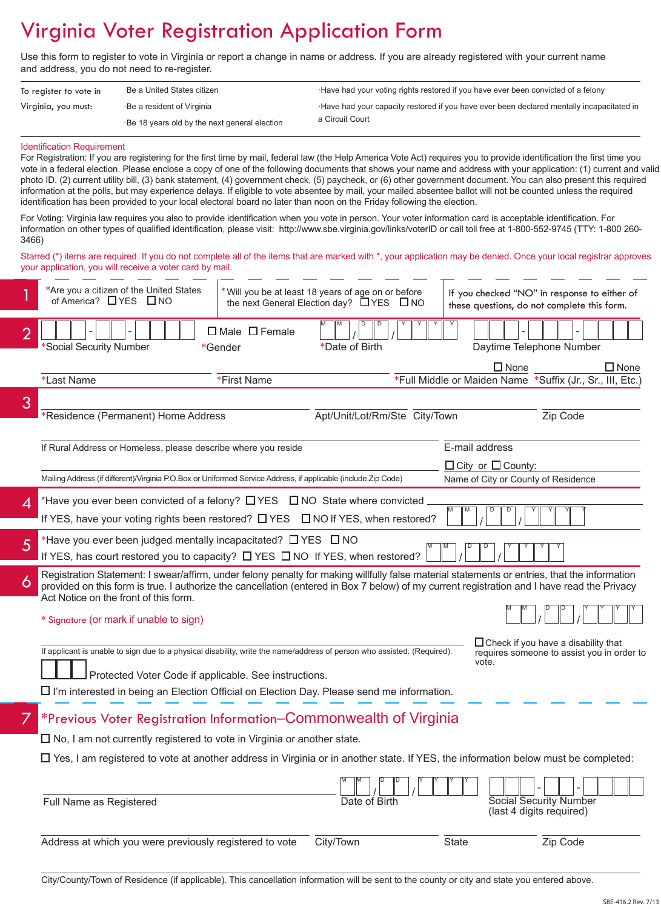## Virginia Voter Registration Application Form

Use this form to register to vote in Virginia or report a change in name or address. If you are already registered with your current name and address, you do not need to re-register.

| To register to vote in | ⋅Be a United States citizen                  | Have had your voting rights restored if you have ever been convicted of a felony         |
|------------------------|----------------------------------------------|------------------------------------------------------------------------------------------|
| Virginia, you must:    | Be a resident of Virginia                    | Have had your capacity restored if you have ever been declared mentally incapacitated in |
|                        | Be 18 years old by the next general election | a Circuit Court                                                                          |

#### Identification Requirement

For Registration: If you are registering for the first time by mail, federal law (the Help America Vote Act) requires you to provide identification the first time you vote in a federal election. Please enclose a copy of one of the following documents that shows your name and address with your application: (1) current and valid photo ID, (2) current utility bill, (3) bank statement, (4) government check, (5) paycheck, or (6) other government document. You can also present this required information at the polls, but may experience delays. If eligible to vote absentee by mail, your mailed absentee ballot will not be counted unless the required identification has been provided to your local electoral board no later than noon on the Friday following the election.

For Voting: Virginia law requires you also to provide identification when you vote in person. Your voter information card is acceptable identification. For information on other types of qualified identification, please visit: http://www.sbe.virginia.gov/links/voterID or call toll free at 1-800-552-9745 (TTY: 1-800 260- 3466)

Starred (\*) items are required. If you do not complete all of the items that are marked with \*, your application may be denied. Once your local registrar approves your application, you will receive a voter card by mail.

|   | *Are you a citizen of the United States<br>of America? $\Box$ YES $\Box$ NO                                                                                                                                                                                                                 | * Will you be at least 18 years of age on or before<br>the next General Election day? □ YES □ NO |                               | these questions, do not complete this form.                          | If you checked "NO" in response to either of                                             |
|---|---------------------------------------------------------------------------------------------------------------------------------------------------------------------------------------------------------------------------------------------------------------------------------------------|--------------------------------------------------------------------------------------------------|-------------------------------|----------------------------------------------------------------------|------------------------------------------------------------------------------------------|
| 2 | *Social Security Number                                                                                                                                                                                                                                                                     | $\Box$ Male $\Box$ Female<br>*Gender                                                             | *Date of Birth                | Daytime Telephone Number                                             |                                                                                          |
|   | *Last Name                                                                                                                                                                                                                                                                                  | *First Name                                                                                      |                               | $\Box$ None                                                          | $\Box$ None<br>*Full Middle or Maiden Name *Suffix (Jr., Sr., III, Etc.)                 |
| 3 | *Residence (Permanent) Home Address                                                                                                                                                                                                                                                         |                                                                                                  | Apt/Unit/Lot/Rm/Ste City/Town |                                                                      | Zip Code                                                                                 |
|   | If Rural Address or Homeless, please describe where you reside                                                                                                                                                                                                                              |                                                                                                  |                               | E-mail address                                                       |                                                                                          |
|   | Mailing Address (if different)/Virginia P.O.Box or Uniformed Service Address, if applicable (include Zip Code)                                                                                                                                                                              |                                                                                                  |                               | $\Box$ City or $\Box$ County:<br>Name of City or County of Residence |                                                                                          |
| 4 | *Have you ever been convicted of a felony? $\Box$ YES $\Box$ NO State where convicted                                                                                                                                                                                                       |                                                                                                  |                               |                                                                      |                                                                                          |
|   | If YES, have your voting rights been restored? $\Box$ YES $\Box$ NO If YES, when restored?                                                                                                                                                                                                  |                                                                                                  |                               |                                                                      |                                                                                          |
| 5 | *Have you ever been judged mentally incapacitated? □ YES □ NO<br>If YES, has court restored you to capacity? $\Box$ YES $\Box$ NO If YES, when restored?                                                                                                                                    |                                                                                                  |                               |                                                                      |                                                                                          |
| 6 | Registration Statement: I swear/affirm, under felony penalty for making willfully false material statements or entries, that the information<br>provided on this form is true. I authorize the cancellation (entered in Box 7 below) of my current registration and I have read the Privacy |                                                                                                  |                               |                                                                      |                                                                                          |
|   | Act Notice on the front of this form.                                                                                                                                                                                                                                                       |                                                                                                  |                               |                                                                      |                                                                                          |
|   | * Signature (or mark if unable to sign)                                                                                                                                                                                                                                                     |                                                                                                  |                               |                                                                      |                                                                                          |
|   | If applicant is unable to sign due to a physical disability, write the name/address of person who assisted. (Required).                                                                                                                                                                     |                                                                                                  |                               |                                                                      | $\Box$ Check if you have a disability that<br>requires someone to assist you in order to |
|   | Protected Voter Code if applicable. See instructions.                                                                                                                                                                                                                                       |                                                                                                  |                               | vote.                                                                |                                                                                          |
|   | $\Box$ I'm interested in being an Election Official on Election Day. Please send me information.                                                                                                                                                                                            |                                                                                                  |                               |                                                                      |                                                                                          |
|   | *Previous Voter Registration Information–Commonwealth of Virginia                                                                                                                                                                                                                           |                                                                                                  |                               |                                                                      |                                                                                          |
|   | $\Box$ No, I am not currently registered to vote in Virginia or another state.                                                                                                                                                                                                              |                                                                                                  |                               |                                                                      |                                                                                          |
|   | $\Box$ Yes, I am registered to vote at another address in Virginia or in another state. If YES, the information below must be completed:                                                                                                                                                    |                                                                                                  |                               |                                                                      |                                                                                          |
|   | Full Name as Registered                                                                                                                                                                                                                                                                     |                                                                                                  | Date of Birth                 |                                                                      | Social Security Number<br>(last 4 digits required)                                       |
|   | Address at which you were previously registered to vote                                                                                                                                                                                                                                     |                                                                                                  | City/Town                     | <b>State</b>                                                         | Zip Code                                                                                 |
|   |                                                                                                                                                                                                                                                                                             |                                                                                                  |                               |                                                                      |                                                                                          |

City/County/Town of Residence (if applicable). This cancellation information will be sent to the county or city and state you entered above.